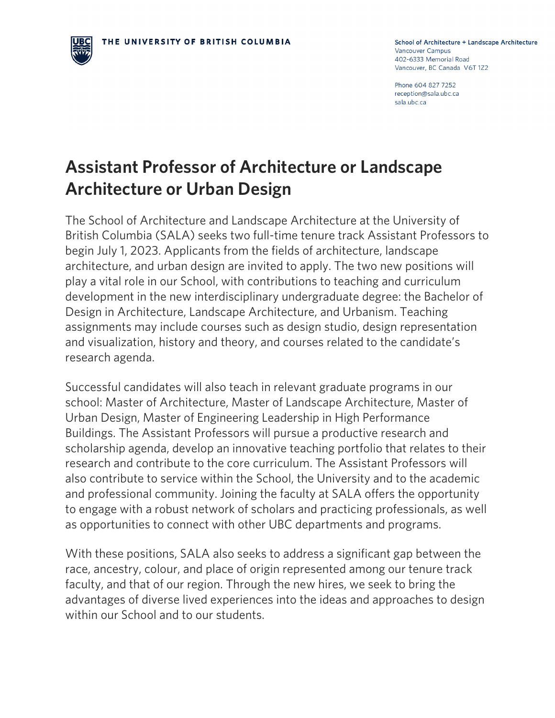School of Architecture + Landscape Architecture Vancouver Campus 402-6333 Memorial Road Vancouver, BC Canada V6T 1Z2

Phone 604 827 7252 reception@sala.ubc.ca sala.ubc.ca

# **Assistant Professor of Architecture or Landscape Architecture or Urban Design**

The School of Architecture and Landscape Architecture at the University of British Columbia (SALA) seeks two full-time tenure track Assistant Professors to begin July 1, 2023. Applicants from the fields of architecture, landscape architecture, and urban design are invited to apply. The two new positions will play a vital role in our School, with contributions to teaching and curriculum development in the new interdisciplinary undergraduate degree: the Bachelor of Design in Architecture, Landscape Architecture, and Urbanism. Teaching assignments may include courses such as design studio, design representation and visualization, history and theory, and courses related to the candidate's research agenda.

Successful candidates will also teach in relevant graduate programs in our school: Master of Architecture, Master of Landscape Architecture, Master of Urban Design, Master of Engineering Leadership in High Performance Buildings. The Assistant Professors will pursue a productive research and scholarship agenda, develop an innovative teaching portfolio that relates to their research and contribute to the core curriculum. The Assistant Professors will also contribute to service within the School, the University and to the academic and professional community. Joining the faculty at SALA offers the opportunity to engage with a robust network of scholars and practicing professionals, as well as opportunities to connect with other UBC departments and programs.

With these positions, SALA also seeks to address a significant gap between the race, ancestry, colour, and place of origin represented among our tenure track faculty, and that of our region. Through the new hires, we seek to bring the advantages of diverse lived experiences into the ideas and approaches to design within our School and to our students.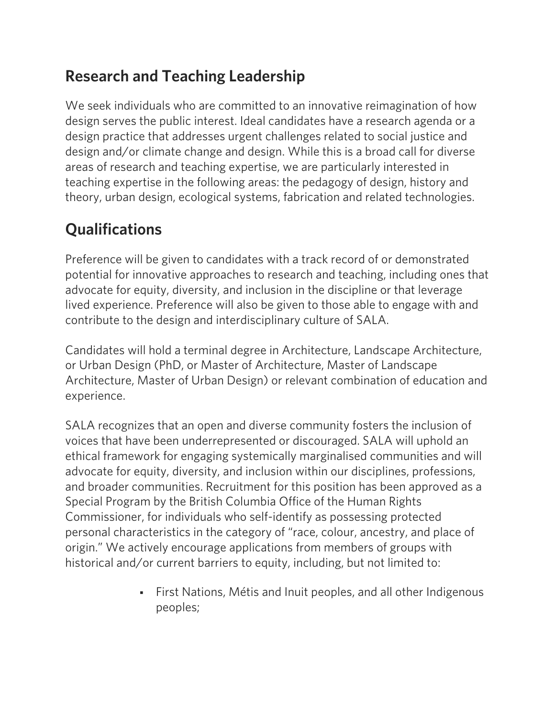## **Research and Teaching Leadership**

We seek individuals who are committed to an innovative reimagination of how design serves the public interest. Ideal candidates have a research agenda or a design practice that addresses urgent challenges related to social justice and design and/or climate change and design. While this is a broad call for diverse areas of research and teaching expertise, we are particularly interested in teaching expertise in the following areas: the pedagogy of design, history and theory, urban design, ecological systems, fabrication and related technologies.

## **Qualifications**

Preference will be given to candidates with a track record of or demonstrated potential for innovative approaches to research and teaching, including ones that advocate for equity, diversity, and inclusion in the discipline or that leverage lived experience. Preference will also be given to those able to engage with and contribute to the design and interdisciplinary culture of SALA.

Candidates will hold a terminal degree in Architecture, Landscape Architecture, or Urban Design (PhD, or Master of Architecture, Master of Landscape Architecture, Master of Urban Design) or relevant combination of education and experience.

SALA recognizes that an open and diverse community fosters the inclusion of voices that have been underrepresented or discouraged. SALA will uphold an ethical framework for engaging systemically marginalised communities and will advocate for equity, diversity, and inclusion within our disciplines, professions, and broader communities. Recruitment for this position has been approved as a Special Program by the British Columbia Office of the Human Rights Commissioner, for individuals who self-identify as possessing protected personal characteristics in the category of "race, colour, ancestry, and place of origin." We actively encourage applications from members of groups with historical and/or current barriers to equity, including, but not limited to:

> • First Nations, Métis and Inuit peoples, and all other Indigenous peoples;